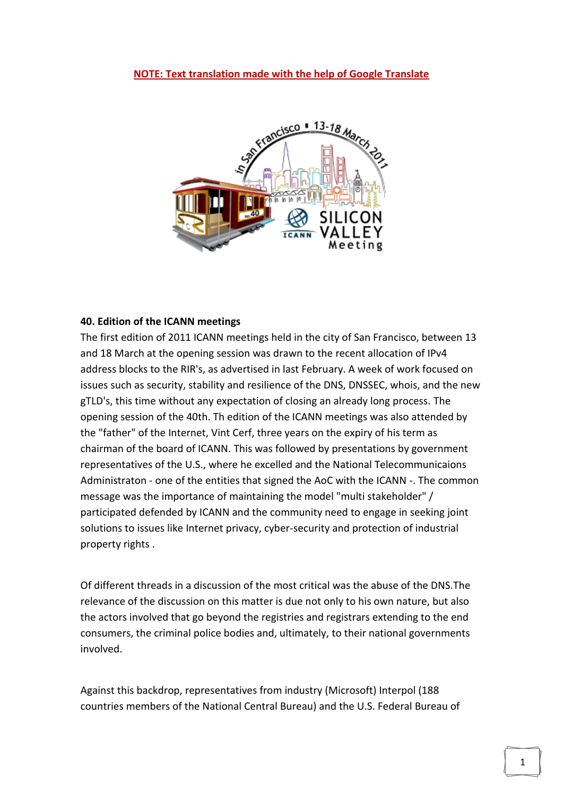## **NOTE: Text translation made with the help of Google Translate**



## **40. Edition of the ICANN meetings**

The first edition of 2011 ICANN meetings held in the city of San Francisco, between 13 and 18 March at the opening session was drawn to the recent allocation of IPv4 address blocks to the RIR's, as advertised in last February. A week of work focused on issues such as security, stability and resilience of the DNS, DNSSEC, whois, and the new gTLD's, this time without any expectation of closing an already long process. The opening session of the 40th. Th edition of the ICANN meetings was also attended by the "father" of the Internet, Vint Cerf, three years on the expiry of his term as chairman of the board of ICANN. This was followed by presentations by government representatives of the U.S., where he excelled and the National Telecommunicaions Administraton - one of the entities that signed the AoC with the ICANN -. The common message was the importance of maintaining the model "multi stakeholder" / participated defended by ICANN and the community need to engage in seeking joint solutions to issues like Internet privacy, cyber-security and protection of industrial property rights .

Of different threads in a discussion of the most critical was the abuse of the DNS.The relevance of the discussion on this matter is due not only to his own nature, but also the actors involved that go beyond the registries and registrars extending to the end consumers, the criminal police bodies and, ultimately, to their national governments involved.

Against this backdrop, representatives from industry (Microsoft) Interpol (188 countries members of the National Central Bureau) and the U.S. Federal Bureau of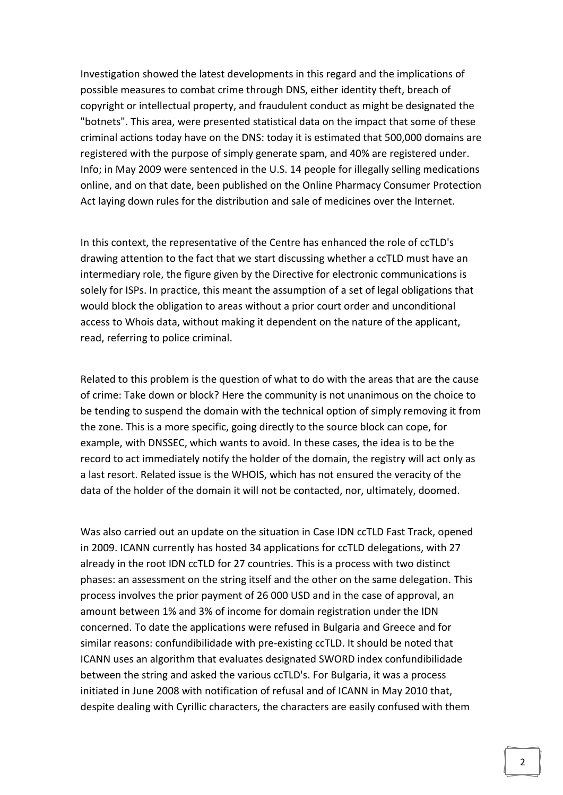Investigation showed the latest developments in this regard and the implications of possible measures to combat crime through DNS, either identity theft, breach of copyright or intellectual property, and fraudulent conduct as might be designated the "botnets". This area, were presented statistical data on the impact that some of these criminal actions today have on the DNS: today it is estimated that 500,000 domains are registered with the purpose of simply generate spam, and 40% are registered under. Info; in May 2009 were sentenced in the U.S. 14 people for illegally selling medications online, and on that date, been published on the Online Pharmacy Consumer Protection Act laying down rules for the distribution and sale of medicines over the Internet.

In this context, the representative of the Centre has enhanced the role of ccTLD's drawing attention to the fact that we start discussing whether a ccTLD must have an intermediary role, the figure given by the Directive for electronic communications is solely for ISPs. In practice, this meant the assumption of a set of legal obligations that would block the obligation to areas without a prior court order and unconditional access to Whois data, without making it dependent on the nature of the applicant, read, referring to police criminal.

Related to this problem is the question of what to do with the areas that are the cause of crime: Take down or block? Here the community is not unanimous on the choice to be tending to suspend the domain with the technical option of simply removing it from the zone. This is a more specific, going directly to the source block can cope, for example, with DNSSEC, which wants to avoid. In these cases, the idea is to be the record to act immediately notify the holder of the domain, the registry will act only as a last resort. Related issue is the WHOIS, which has not ensured the veracity of the data of the holder of the domain it will not be contacted, nor, ultimately, doomed.

Was also carried out an update on the situation in Case IDN ccTLD Fast Track, opened in 2009. ICANN currently has hosted 34 applications for ccTLD delegations, with 27 already in the root IDN ccTLD for 27 countries. This is a process with two distinct phases: an assessment on the string itself and the other on the same delegation. This process involves the prior payment of 26 000 USD and in the case of approval, an amount between 1% and 3% of income for domain registration under the IDN concerned. To date the applications were refused in Bulgaria and Greece and for similar reasons: confundibilidade with pre-existing ccTLD. It should be noted that ICANN uses an algorithm that evaluates designated SWORD index confundibilidade between the string and asked the various ccTLD's. For Bulgaria, it was a process initiated in June 2008 with notification of refusal and of ICANN in May 2010 that, despite dealing with Cyrillic characters, the characters are easily confused with them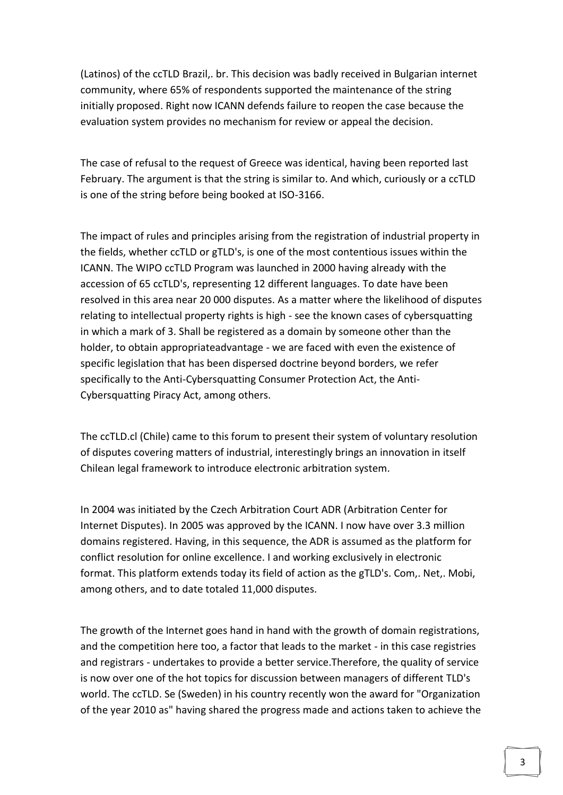(Latinos) of the ccTLD Brazil,. br. This decision was badly received in Bulgarian internet community, where 65% of respondents supported the maintenance of the string initially proposed. Right now ICANN defends failure to reopen the case because the evaluation system provides no mechanism for review or appeal the decision.

The case of refusal to the request of Greece was identical, having been reported last February. The argument is that the string is similar to. And which, curiously or a ccTLD is one of the string before being booked at ISO-3166.

The impact of rules and principles arising from the registration of industrial property in the fields, whether ccTLD or gTLD's, is one of the most contentious issues within the ICANN. The WIPO ccTLD Program was launched in 2000 having already with the accession of 65 ccTLD's, representing 12 different languages. To date have been resolved in this area near 20 000 disputes. As a matter where the likelihood of disputes relating to intellectual property rights is high - see the known cases of cybersquatting in which a mark of 3. Shall be registered as a domain by someone other than the holder, to obtain appropriateadvantage - we are faced with even the existence of specific legislation that has been dispersed doctrine beyond borders, we refer specifically to the Anti-Cybersquatting Consumer Protection Act, the Anti-Cybersquatting Piracy Act, among others.

The ccTLD.cl (Chile) came to this forum to present their system of voluntary resolution of disputes covering matters of industrial, interestingly brings an innovation in itself Chilean legal framework to introduce electronic arbitration system.

In 2004 was initiated by the Czech Arbitration Court ADR (Arbitration Center for Internet Disputes). In 2005 was approved by the ICANN. I now have over 3.3 million domains registered. Having, in this sequence, the ADR is assumed as the platform for conflict resolution for online excellence. I and working exclusively in electronic format. This platform extends today its field of action as the gTLD's. Com,. Net,. Mobi, among others, and to date totaled 11,000 disputes.

The growth of the Internet goes hand in hand with the growth of domain registrations, and the competition here too, a factor that leads to the market - in this case registries and registrars - undertakes to provide a better service.Therefore, the quality of service is now over one of the hot topics for discussion between managers of different TLD's world. The ccTLD. Se (Sweden) in his country recently won the award for "Organization of the year 2010 as" having shared the progress made and actions taken to achieve the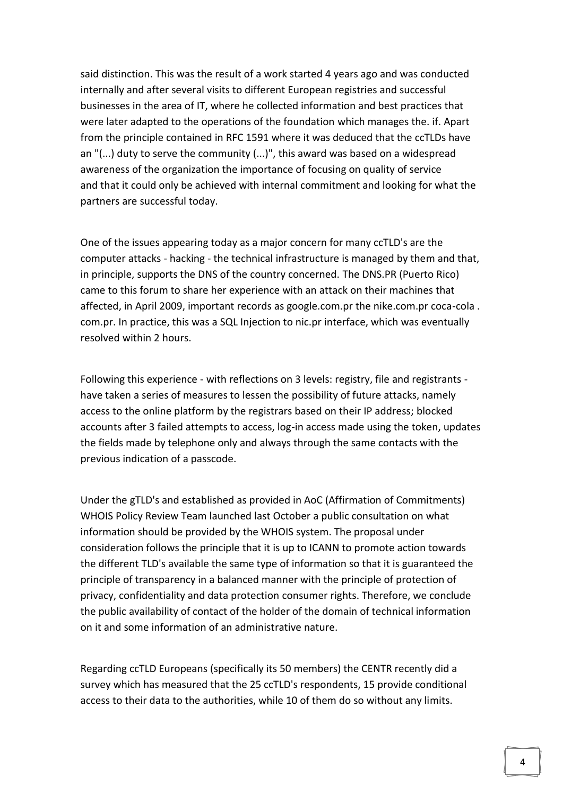said distinction. This was the result of a work started 4 years ago and was conducted internally and after several visits to different European registries and successful businesses in the area of IT, where he collected information and best practices that were later adapted to the operations of the foundation which manages the. if. Apart from the principle contained in RFC 1591 where it was deduced that the ccTLDs have an "(...) duty to serve the community (...)", this award was based on a widespread awareness of the organization the importance of focusing on quality of service and that it could only be achieved with internal commitment and looking for what the partners are successful today.

One of the issues appearing today as a major concern for many ccTLD's are the computer attacks - hacking - the technical infrastructure is managed by them and that, in principle, supports the DNS of the country concerned. The DNS.PR (Puerto Rico) came to this forum to share her experience with an attack on their machines that affected, in April 2009, important records as google.com.pr the nike.com.pr coca-cola . com.pr. In practice, this was a SQL Injection to nic.pr interface, which was eventually resolved within 2 hours.

Following this experience - with reflections on 3 levels: registry, file and registrants have taken a series of measures to lessen the possibility of future attacks, namely access to the online platform by the registrars based on their IP address; blocked accounts after 3 failed attempts to access, log-in access made using the token, updates the fields made by telephone only and always through the same contacts with the previous indication of a passcode.

Under the gTLD's and established as provided in AoC (Affirmation of Commitments) WHOIS Policy Review Team launched last October a public consultation on what information should be provided by the WHOIS system. The proposal under consideration follows the principle that it is up to ICANN to promote action towards the different TLD's available the same type of information so that it is guaranteed the principle of transparency in a balanced manner with the principle of protection of privacy, confidentiality and data protection consumer rights. Therefore, we conclude the public availability of contact of the holder of the domain of technical information on it and some information of an administrative nature.

Regarding ccTLD Europeans (specifically its 50 members) the CENTR recently did a survey which has measured that the 25 ccTLD's respondents, 15 provide conditional access to their data to the authorities, while 10 of them do so without any limits.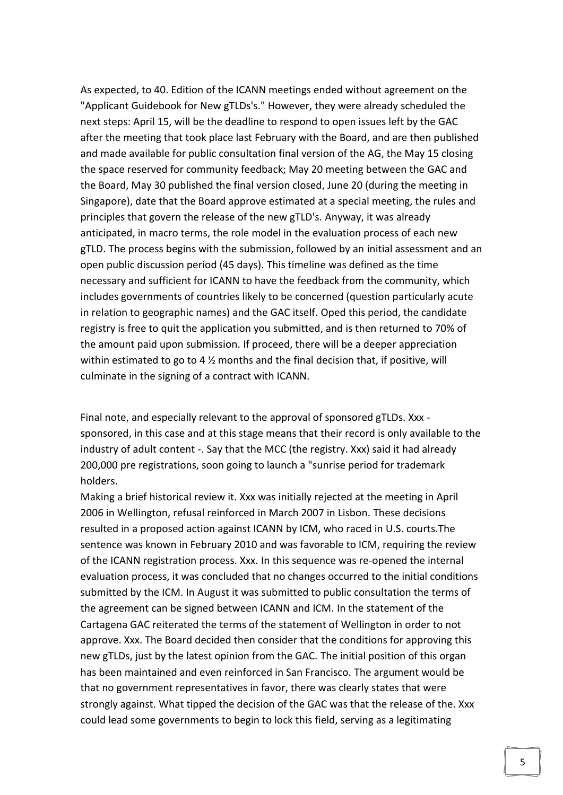As expected, to 40. Edition of the ICANN meetings ended without agreement on the "Applicant Guidebook for New gTLDs's." However, they were already scheduled the next steps: April 15, will be the deadline to respond to open issues left by the GAC after the meeting that took place last February with the Board, and are then published and made available for public consultation final version of the AG, the May 15 closing the space reserved for community feedback; May 20 meeting between the GAC and the Board, May 30 published the final version closed, June 20 (during the meeting in Singapore), date that the Board approve estimated at a special meeting, the rules and principles that govern the release of the new gTLD's. Anyway, it was already anticipated, in macro terms, the role model in the evaluation process of each new gTLD. The process begins with the submission, followed by an initial assessment and an open public discussion period (45 days). This timeline was defined as the time necessary and sufficient for ICANN to have the feedback from the community, which includes governments of countries likely to be concerned (question particularly acute in relation to geographic names) and the GAC itself. Oped this period, the candidate registry is free to quit the application you submitted, and is then returned to 70% of the amount paid upon submission. If proceed, there will be a deeper appreciation within estimated to go to 4  $\frac{1}{2}$  months and the final decision that, if positive, will culminate in the signing of a contract with ICANN.

Final note, and especially relevant to the approval of sponsored gTLDs. Xxx sponsored, in this case and at this stage means that their record is only available to the industry of adult content -. Say that the MCC (the registry. Xxx) said it had already 200,000 pre registrations, soon going to launch a "sunrise period for trademark holders.

Making a brief historical review it. Xxx was initially rejected at the meeting in April 2006 in Wellington, refusal reinforced in March 2007 in Lisbon. These decisions resulted in a proposed action against ICANN by ICM, who raced in U.S. courts.The sentence was known in February 2010 and was favorable to ICM, requiring the review of the ICANN registration process. Xxx. In this sequence was re-opened the internal evaluation process, it was concluded that no changes occurred to the initial conditions submitted by the ICM. In August it was submitted to public consultation the terms of the agreement can be signed between ICANN and ICM. In the statement of the Cartagena GAC reiterated the terms of the statement of Wellington in order to not approve. Xxx. The Board decided then consider that the conditions for approving this new gTLDs, just by the latest opinion from the GAC. The initial position of this organ has been maintained and even reinforced in San Francisco. The argument would be that no government representatives in favor, there was clearly states that were strongly against. What tipped the decision of the GAC was that the release of the. Xxx could lead some governments to begin to lock this field, serving as a legitimating